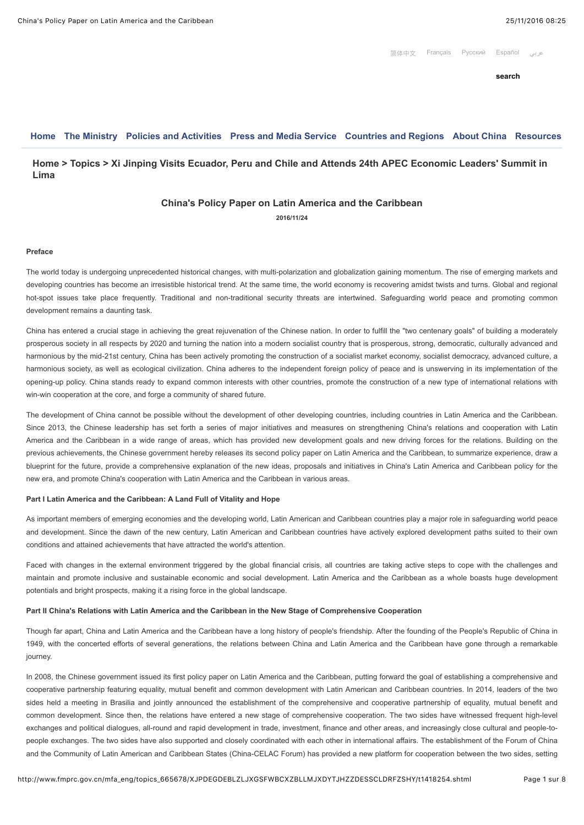**search**

# **[Home](http://www.fmprc.gov.cn/mfa_eng) [The Ministry](http://www.fmprc.gov.cn/mfa_eng/wjb_663304/) [Policies and Activities](http://www.fmprc.gov.cn/mfa_eng/wjdt_665385/) [Press and Media Service](http://www.fmprc.gov.cn/mfa_eng/xwfw_665399/) [Countries and Regions](http://www.fmprc.gov.cn/mfa_eng/gjhdq_665435/) [About China](http://english.gov.cn/archive/chinaabc/) [Resources](http://www.fmprc.gov.cn/mfa_eng/ziliao_665539/)**

# **[Hom](http://www.fmprc.gov.cn/mfa_eng/)[e > T](http://www.fmprc.gov.cn/mfa_eng/topics_665678/XJPDEGDEBLZLJXGSFWBCXZBLLMJXDYTJHZZDESSCLDRFZSHY/)[opic](http://www.fmprc.gov.cn/mfa_eng/topics_665678/)[s > Xi Jinping Visits Ecuador, Peru and Chile and Attends 24th APEC Economic Leaders' Summit in](http://www.fmprc.gov.cn/mfa_eng/topics_665678/XJPDEGDEBLZLJXGSFWBCXZBLLMJXDYTJHZZDESSCLDRFZSHY/) Lima**

# **China's Policy Paper on Latin America and the Caribbean**

**2016/11/24**

## **Preface**

The world today is undergoing unprecedented historical changes, with multi-polarization and globalization gaining momentum. The rise of emerging markets and developing countries has become an irresistible historical trend. At the same time, the world economy is recovering amidst twists and turns. Global and regional hot-spot issues take place frequently. Traditional and non-traditional security threats are intertwined. Safequarding world peace and promoting common development remains a daunting task.

China has entered a crucial stage in achieving the great rejuvenation of the Chinese nation. In order to fulfill the "two centenary goals" of building a moderately prosperous society in all respects by 2020 and turning the nation into a modern socialist country that is prosperous, strong, democratic, culturally advanced and harmonious by the mid-21st century, China has been actively promoting the construction of a socialist market economy, socialist democracy, advanced culture, a harmonious society, as well as ecological civilization. China adheres to the independent foreign policy of peace and is unswerving in its implementation of the opening-up policy. China stands ready to expand common interests with other countries, promote the construction of a new type of international relations with win-win cooperation at the core, and forge a community of shared future.

The development of China cannot be possible without the development of other developing countries, including countries in Latin America and the Caribbean. Since 2013, the Chinese leadership has set forth a series of major initiatives and measures on strengthening China's relations and cooperation with Latin America and the Caribbean in a wide range of areas, which has provided new development goals and new driving forces for the relations. Building on the previous achievements, the Chinese government hereby releases its second policy paper on Latin America and the Caribbean, to summarize experience, draw a blueprint for the future, provide a comprehensive explanation of the new ideas, proposals and initiatives in China's Latin America and Caribbean policy for the new era, and promote China's cooperation with Latin America and the Caribbean in various areas.

# **Part I Latin America and the Caribbean: A Land Full of Vitality and Hope**

As important members of emerging economies and the developing world, Latin American and Caribbean countries play a major role in safeguarding world peace and development. Since the dawn of the new century, Latin American and Caribbean countries have actively explored development paths suited to their own conditions and attained achievements that have attracted the world's attention.

Faced with changes in the external environment triggered by the global financial crisis, all countries are taking active steps to cope with the challenges and maintain and promote inclusive and sustainable economic and social development. Latin America and the Caribbean as a whole boasts huge development potentials and bright prospects, making it a rising force in the global landscape.

## **Part II China's Relations with Latin America and the Caribbean in the New Stage of Comprehensive Cooperation**

Though far apart, China and Latin America and the Caribbean have a long history of people's friendship. After the founding of the People's Republic of China in 1949, with the concerted efforts of several generations, the relations between China and Latin America and the Caribbean have gone through a remarkable journey.

In 2008, the Chinese government issued its first policy paper on Latin America and the Caribbean, putting forward the goal of establishing a comprehensive and cooperative partnership featuring equality, mutual benefit and common development with Latin American and Caribbean countries. In 2014, leaders of the two sides held a meeting in Brasilia and jointly announced the establishment of the comprehensive and cooperative partnership of equality, mutual benefit and common development. Since then, the relations have entered a new stage of comprehensive cooperation. The two sides have witnessed frequent high-level exchanges and political dialogues, all-round and rapid development in trade, investment, finance and other areas, and increasingly close cultural and people-topeople exchanges. The two sides have also supported and closely coordinated with each other in international affairs. The establishment of the Forum of China and the Community of Latin American and Caribbean States (China-CELAC Forum) has provided a new platform for cooperation between the two sides, setting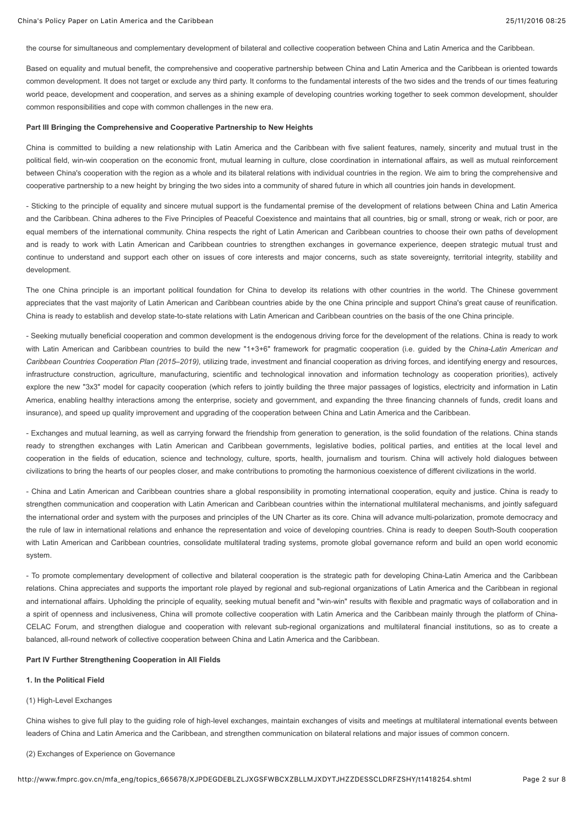the course for simultaneous and complementary development of bilateral and collective cooperation between China and Latin America and the Caribbean.

Based on equality and mutual benefit, the comprehensive and cooperative partnership between China and Latin America and the Caribbean is oriented towards common development. It does not target or exclude any third party. It conforms to the fundamental interests of the two sides and the trends of our times featuring world peace, development and cooperation, and serves as a shining example of developing countries working together to seek common development, shoulder common responsibilities and cope with common challenges in the new era.

#### **Part III Bringing the Comprehensive and Cooperative Partnership to New Heights**

China is committed to building a new relationship with Latin America and the Caribbean with five salient features, namely, sincerity and mutual trust in the political field, win-win cooperation on the economic front, mutual learning in culture, close coordination in international affairs, as well as mutual reinforcement between China's cooperation with the region as a whole and its bilateral relations with individual countries in the region. We aim to bring the comprehensive and cooperative partnership to a new height by bringing the two sides into a community of shared future in which all countries join hands in development.

- Sticking to the principle of equality and sincere mutual support is the fundamental premise of the development of relations between China and Latin America and the Caribbean. China adheres to the Five Principles of Peaceful Coexistence and maintains that all countries, big or small, strong or weak, rich or poor, are equal members of the international community. China respects the right of Latin American and Caribbean countries to choose their own paths of development and is ready to work with Latin American and Caribbean countries to strengthen exchanges in governance experience, deepen strategic mutual trust and continue to understand and support each other on issues of core interests and major concerns, such as state sovereignty, territorial integrity, stability and development.

The one China principle is an important political foundation for China to develop its relations with other countries in the world. The Chinese government appreciates that the vast majority of Latin American and Caribbean countries abide by the one China principle and support China's great cause of reunification. China is ready to establish and develop state-to-state relations with Latin American and Caribbean countries on the basis of the one China principle.

- Seeking mutually beneficial cooperation and common development is the endogenous driving force for the development of the relations. China is ready to work with Latin American and Caribbean countries to build the new "1+3+6" framework for pragmatic cooperation (i.e. guided by the *China-Latin American and Caribbean Countries Cooperation Plan (2015–2019),* utilizing trade, investment and financial cooperation as driving forces, and identifying energy and resources, infrastructure construction, agriculture, manufacturing, scientific and technological innovation and information technology as cooperation priorities), actively explore the new "3x3" model for capacity cooperation (which refers to jointly building the three major passages of logistics, electricity and information in Latin America, enabling healthy interactions among the enterprise, society and government, and expanding the three financing channels of funds, credit loans and insurance), and speed up quality improvement and upgrading of the cooperation between China and Latin America and the Caribbean.

- Exchanges and mutual learning, as well as carrying forward the friendship from generation to generation, is the solid foundation of the relations. China stands ready to strengthen exchanges with Latin American and Caribbean governments, legislative bodies, political parties, and entities at the local level and cooperation in the fields of education, science and technology, culture, sports, health, journalism and tourism. China will actively hold dialogues between civilizations to bring the hearts of our peoples closer, and make contributions to promoting the harmonious coexistence of different civilizations in the world.

- China and Latin American and Caribbean countries share a global responsibility in promoting international cooperation, equity and justice. China is ready to strengthen communication and cooperation with Latin American and Caribbean countries within the international multilateral mechanisms, and jointly safeguard the international order and system with the purposes and principles of the UN Charter as its core. China will advance multi-polarization, promote democracy and the rule of law in international relations and enhance the representation and voice of developing countries. China is ready to deepen South-South cooperation with Latin American and Caribbean countries, consolidate multilateral trading systems, promote global governance reform and build an open world economic system.

- To promote complementary development of collective and bilateral cooperation is the strategic path for developing China-Latin America and the Caribbean relations. China appreciates and supports the important role played by regional and sub-regional organizations of Latin America and the Caribbean in regional and international affairs. Upholding the principle of equality, seeking mutual benefit and "win-win" results with flexible and pragmatic ways of collaboration and in a spirit of openness and inclusiveness, China will promote collective cooperation with Latin America and the Caribbean mainly through the platform of China-CELAC Forum, and strengthen dialogue and cooperation with relevant sub-regional organizations and multilateral financial institutions, so as to create a balanced, all-round network of collective cooperation between China and Latin America and the Caribbean.

# **Part IV Further Strengthening Cooperation in All Fields**

# **1. In the Political Field**

## (1) High-Level Exchanges

China wishes to give full play to the guiding role of high-level exchanges, maintain exchanges of visits and meetings at multilateral international events between leaders of China and Latin America and the Caribbean, and strengthen communication on bilateral relations and major issues of common concern.

# (2) Exchanges of Experience on Governance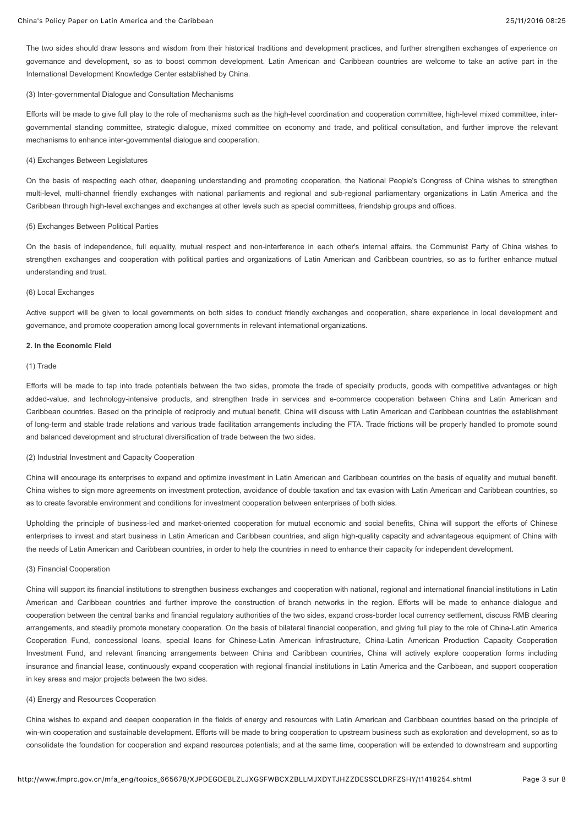The two sides should draw lessons and wisdom from their historical traditions and development practices, and further strengthen exchanges of experience on governance and development, so as to boost common development. Latin American and Caribbean countries are welcome to take an active part in the International Development Knowledge Center established by China.

## (3) Inter-governmental Dialogue and Consultation Mechanisms

Efforts will be made to give full play to the role of mechanisms such as the high-level coordination and cooperation committee, high-level mixed committee, intergovernmental standing committee, strategic dialogue, mixed committee on economy and trade, and political consultation, and further improve the relevant mechanisms to enhance inter-governmental dialogue and cooperation.

# (4) Exchanges Between Legislatures

On the basis of respecting each other, deepening understanding and promoting cooperation, the National People's Congress of China wishes to strengthen multi-level, multi-channel friendly exchanges with national parliaments and regional and sub-regional parliamentary organizations in Latin America and the Caribbean through high-level exchanges and exchanges at other levels such as special committees, friendship groups and offices.

# (5) Exchanges Between Political Parties

On the basis of independence, full equality, mutual respect and non-interference in each other's internal affairs, the Communist Party of China wishes to strengthen exchanges and cooperation with political parties and organizations of Latin American and Caribbean countries, so as to further enhance mutual understanding and trust.

## (6) Local Exchanges

Active support will be given to local governments on both sides to conduct friendly exchanges and cooperation, share experience in local development and governance, and promote cooperation among local governments in relevant international organizations.

#### **2. In the Economic Field**

## (1) Trade

Efforts will be made to tap into trade potentials between the two sides, promote the trade of specialty products, goods with competitive advantages or high added-value, and technology-intensive products, and strengthen trade in services and e-commerce cooperation between China and Latin American and Caribbean countries. Based on the principle of reciprociy and mutual benefit, China will discuss with Latin American and Caribbean countries the establishment of long-term and stable trade relations and various trade facilitation arrangements including the FTA. Trade frictions will be properly handled to promote sound and balanced development and structural diversification of trade between the two sides.

# (2) Industrial Investment and Capacity Cooperation

China will encourage its enterprises to expand and optimize investment in Latin American and Caribbean countries on the basis of equality and mutual benefit. China wishes to sign more agreements on investment protection, avoidance of double taxation and tax evasion with Latin American and Caribbean countries, so as to create favorable environment and conditions for investment cooperation between enterprises of both sides.

Upholding the principle of business-led and market-oriented cooperation for mutual economic and social benefits, China will support the efforts of Chinese enterprises to invest and start business in Latin American and Caribbean countries, and align high-quality capacity and advantageous equipment of China with the needs of Latin American and Caribbean countries, in order to help the countries in need to enhance their capacity for independent development.

## (3) Financial Cooperation

China will support its financial institutions to strengthen business exchanges and cooperation with national, regional and international financial institutions in Latin American and Caribbean countries and further improve the construction of branch networks in the region. Efforts will be made to enhance dialogue and cooperation between the central banks and financial regulatory authorities of the two sides, expand cross-border local currency settlement, discuss RMB clearing arrangements, and steadily promote monetary cooperation. On the basis of bilateral financial cooperation, and giving full play to the role of China-Latin America Cooperation Fund, concessional loans, special loans for Chinese-Latin American infrastructure, China-Latin American Production Capacity Cooperation Investment Fund, and relevant financing arrangements between China and Caribbean countries, China will actively explore cooperation forms including insurance and financial lease, continuously expand cooperation with regional financial institutions in Latin America and the Caribbean, and support cooperation in key areas and major projects between the two sides.

## (4) Energy and Resources Cooperation

China wishes to expand and deepen cooperation in the fields of energy and resources with Latin American and Caribbean countries based on the principle of win-win cooperation and sustainable development. Efforts will be made to bring cooperation to upstream business such as exploration and development, so as to consolidate the foundation for cooperation and expand resources potentials; and at the same time, cooperation will be extended to downstream and supporting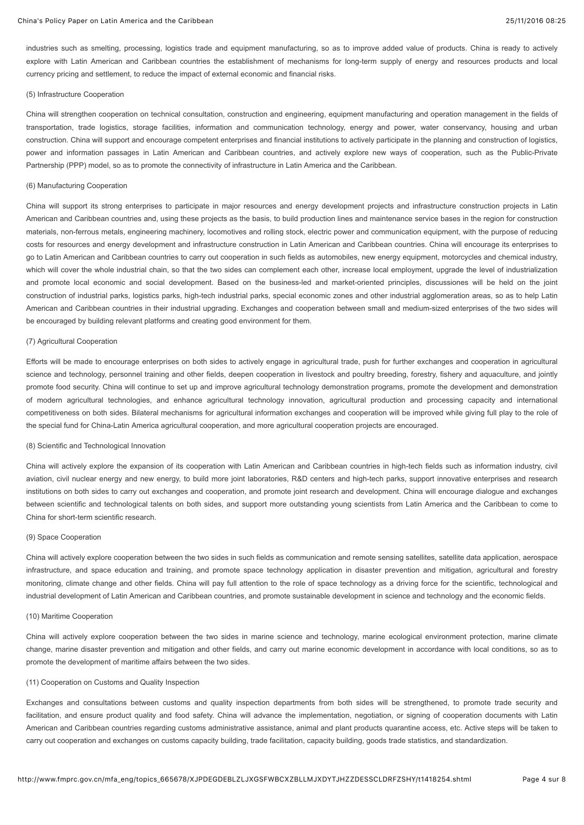industries such as smelting, processing, logistics trade and equipment manufacturing, so as to improve added value of products. China is ready to actively explore with Latin American and Caribbean countries the establishment of mechanisms for long-term supply of energy and resources products and local currency pricing and settlement, to reduce the impact of external economic and financial risks.

#### (5) Infrastructure Cooperation

China will strengthen cooperation on technical consultation, construction and engineering, equipment manufacturing and operation management in the fields of transportation, trade logistics, storage facilities, information and communication technology, energy and power, water conservancy, housing and urban construction. China will support and encourage competent enterprises and financial institutions to actively participate in the planning and construction of logistics, power and information passages in Latin American and Caribbean countries, and actively explore new ways of cooperation, such as the Public-Private Partnership (PPP) model, so as to promote the connectivity of infrastructure in Latin America and the Caribbean.

## (6) Manufacturing Cooperation

China will support its strong enterprises to participate in major resources and energy development projects and infrastructure construction projects in Latin American and Caribbean countries and, using these projects as the basis, to build production lines and maintenance service bases in the region for construction materials, non-ferrous metals, engineering machinery, locomotives and rolling stock, electric power and communication equipment, with the purpose of reducing costs for resources and energy development and infrastructure construction in Latin American and Caribbean countries. China will encourage its enterprises to go to Latin American and Caribbean countries to carry out cooperation in such fields as automobiles, new energy equipment, motorcycles and chemical industry, which will cover the whole industrial chain, so that the two sides can complement each other, increase local employment, upgrade the level of industrialization and promote local economic and social development. Based on the business-led and market-oriented principles, discussiones will be held on the joint construction of industrial parks, logistics parks, high-tech industrial parks, special economic zones and other industrial agglomeration areas, so as to help Latin American and Caribbean countries in their industrial upgrading. Exchanges and cooperation between small and medium-sized enterprises of the two sides will be encouraged by building relevant platforms and creating good environment for them.

#### (7) Agricultural Cooperation

Efforts will be made to encourage enterprises on both sides to actively engage in agricultural trade, push for further exchanges and cooperation in agricultural science and technology, personnel training and other fields, deepen cooperation in livestock and poultry breeding, forestry, fishery and aquaculture, and jointly promote food security. China will continue to set up and improve agricultural technology demonstration programs, promote the development and demonstration of modern agricultural technologies, and enhance agricultural technology innovation, agricultural production and processing capacity and international competitiveness on both sides. Bilateral mechanisms for agricultural information exchanges and cooperation will be improved while giving full play to the role of the special fund for China-Latin America agricultural cooperation, and more agricultural cooperation projects are encouraged.

# (8) Scientific and Technological Innovation

China will actively explore the expansion of its cooperation with Latin American and Caribbean countries in high-tech fields such as information industry, civil aviation, civil nuclear energy and new energy, to build more joint laboratories, R&D centers and high-tech parks, support innovative enterprises and research institutions on both sides to carry out exchanges and cooperation, and promote joint research and development. China will encourage dialogue and exchanges between scientific and technological talents on both sides, and support more outstanding young scientists from Latin America and the Caribbean to come to China for short-term scientific research.

# (9) Space Cooperation

China will actively explore cooperation between the two sides in such fields as communication and remote sensing satellites, satellite data application, aerospace infrastructure, and space education and training, and promote space technology application in disaster prevention and mitigation, agricultural and forestry monitoring, climate change and other fields. China will pay full attention to the role of space technology as a driving force for the scientific, technological and industrial development of Latin American and Caribbean countries, and promote sustainable development in science and technology and the economic fields.

# (10) Maritime Cooperation

China will actively explore cooperation between the two sides in marine science and technology, marine ecological environment protection, marine climate change, marine disaster prevention and mitigation and other fields, and carry out marine economic development in accordance with local conditions, so as to promote the development of maritime affairs between the two sides.

# (11) Cooperation on Customs and Quality Inspection

Exchanges and consultations between customs and quality inspection departments from both sides will be strengthened, to promote trade security and facilitation, and ensure product quality and food safety. China will advance the implementation, negotiation, or signing of cooperation documents with Latin American and Caribbean countries regarding customs administrative assistance, animal and plant products quarantine access, etc. Active steps will be taken to carry out cooperation and exchanges on customs capacity building, trade facilitation, capacity building, goods trade statistics, and standardization.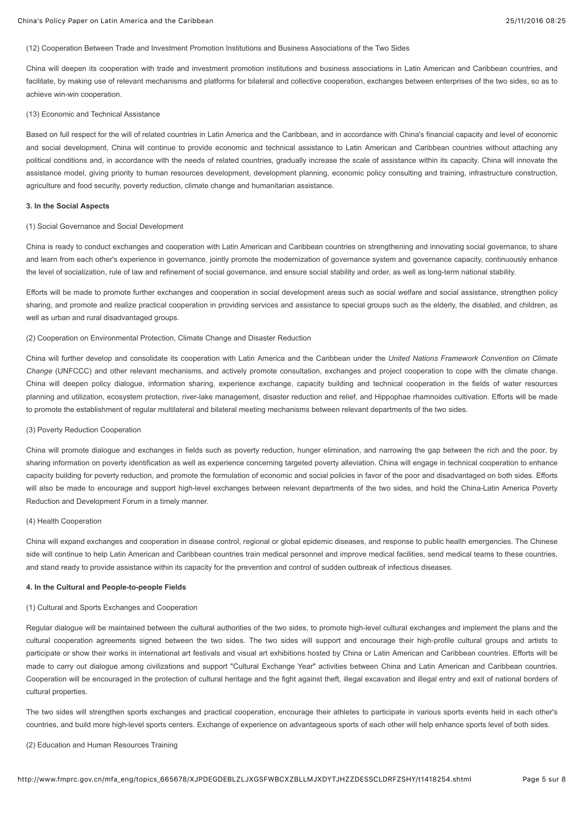## (12) Cooperation Between Trade and Investment Promotion Institutions and Business Associations of the Two Sides

China will deepen its cooperation with trade and investment promotion institutions and business associations in Latin American and Caribbean countries, and facilitate, by making use of relevant mechanisms and platforms for bilateral and collective cooperation, exchanges between enterprises of the two sides, so as to achieve win-win cooperation.

#### (13) Economic and Technical Assistance

Based on full respect for the will of related countries in Latin America and the Caribbean, and in accordance with China's financial capacity and level of economic and social development, China will continue to provide economic and technical assistance to Latin American and Caribbean countries without attaching any political conditions and, in accordance with the needs of related countries, gradually increase the scale of assistance within its capacity. China will innovate the assistance model, giving priority to human resources development, development planning, economic policy consulting and training, infrastructure construction, agriculture and food security, poverty reduction, climate change and humanitarian assistance.

# **3. In the Social Aspects**

# (1) Social Governance and Social Development

China is ready to conduct exchanges and cooperation with Latin American and Caribbean countries on strengthening and innovating social governance, to share and learn from each other's experience in governance, jointly promote the modernization of governance system and governance capacity, continuously enhance the level of socialization, rule of law and refinement of social governance, and ensure social stability and order, as well as long-term national stability.

Efforts will be made to promote further exchanges and cooperation in social development areas such as social welfare and social assistance, strengthen policy sharing, and promote and realize practical cooperation in providing services and assistance to special groups such as the elderly, the disabled, and children, as well as urban and rural disadvantaged groups.

# (2) Cooperation on Environmental Protection, Climate Change and Disaster Reduction

China will further develop and consolidate its cooperation with Latin America and the Caribbean under the *United Nations Framework Convention on Climate Change* (UNFCCC) and other relevant mechanisms, and actively promote consultation, exchanges and project cooperation to cope with the climate change. China will deepen policy dialogue, information sharing, experience exchange, capacity building and technical cooperation in the fields of water resources planning and utilization, ecosystem protection, river-lake management, disaster reduction and relief, and Hippophae rhamnoides cultivation. Efforts will be made to promote the establishment of regular multilateral and bilateral meeting mechanisms between relevant departments of the two sides.

# (3) Poverty Reduction Cooperation

China will promote dialogue and exchanges in fields such as poverty reduction, hunger elimination, and narrowing the gap between the rich and the poor, by sharing information on poverty identification as well as experience concerning targeted poverty alleviation. China will engage in technical cooperation to enhance capacity building for poverty reduction, and promote the formulation of economic and social policies in favor of the poor and disadvantaged on both sides. Efforts will also be made to encourage and support high-level exchanges between relevant departments of the two sides, and hold the China-Latin America Poverty Reduction and Development Forum in a timely manner.

## (4) Health Cooperation

China will expand exchanges and cooperation in disease control, regional or global epidemic diseases, and response to public health emergencies. The Chinese side will continue to help Latin American and Caribbean countries train medical personnel and improve medical facilities, send medical teams to these countries, and stand ready to provide assistance within its capacity for the prevention and control of sudden outbreak of infectious diseases.

#### **4. In the Cultural and People-to-people Fields**

# (1) Cultural and Sports Exchanges and Cooperation

Regular dialogue will be maintained between the cultural authorities of the two sides, to promote high-level cultural exchanges and implement the plans and the cultural cooperation agreements signed between the two sides. The two sides will support and encourage their high-profile cultural groups and artists to participate or show their works in international art festivals and visual art exhibitions hosted by China or Latin American and Caribbean countries. Efforts will be made to carry out dialogue among civilizations and support "Cultural Exchange Year" activities between China and Latin American and Caribbean countries. Cooperation will be encouraged in the protection of cultural heritage and the fight against theft, illegal excavation and illegal entry and exit of national borders of cultural properties.

The two sides will strengthen sports exchanges and practical cooperation, encourage their athletes to participate in various sports events held in each other's countries, and build more high-level sports centers. Exchange of experience on advantageous sports of each other will help enhance sports level of both sides.

# (2) Education and Human Resources Training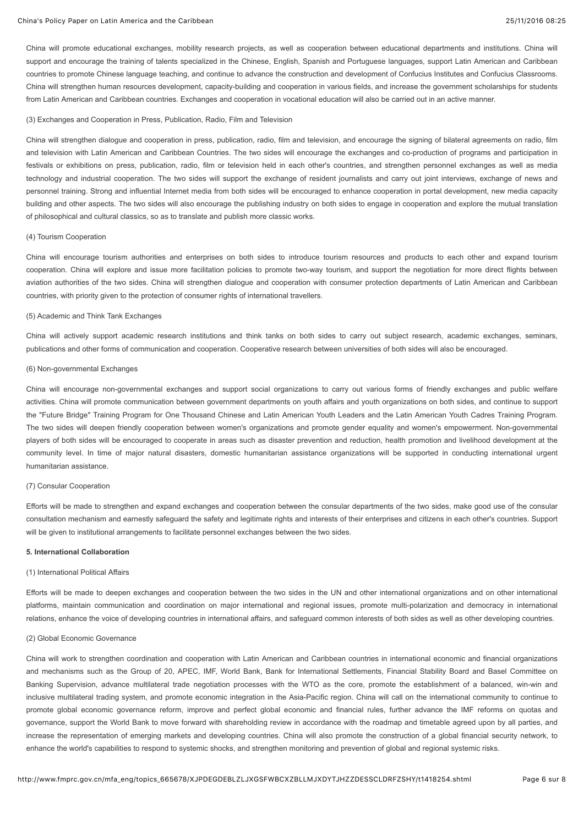China will promote educational exchanges, mobility research projects, as well as cooperation between educational departments and institutions. China will support and encourage the training of talents specialized in the Chinese, English, Spanish and Portuguese languages, support Latin American and Caribbean countries to promote Chinese language teaching, and continue to advance the construction and development of Confucius Institutes and Confucius Classrooms. China will strengthen human resources development, capacity-building and cooperation in various fields, and increase the government scholarships for students from Latin American and Caribbean countries. Exchanges and cooperation in vocational education will also be carried out in an active manner.

#### (3) Exchanges and Cooperation in Press, Publication, Radio, Film and Television

China will strengthen dialogue and cooperation in press, publication, radio, film and television, and encourage the signing of bilateral agreements on radio, film and television with Latin American and Caribbean Countries. The two sides will encourage the exchanges and co-production of programs and participation in festivals or exhibitions on press, publication, radio, film or television held in each other's countries, and strengthen personnel exchanges as well as media technology and industrial cooperation. The two sides will support the exchange of resident journalists and carry out joint interviews, exchange of news and personnel training. Strong and influential Internet media from both sides will be encouraged to enhance cooperation in portal development, new media capacity building and other aspects. The two sides will also encourage the publishing industry on both sides to engage in cooperation and explore the mutual translation of philosophical and cultural classics, so as to translate and publish more classic works.

## (4) Tourism Cooperation

China will encourage tourism authorities and enterprises on both sides to introduce tourism resources and products to each other and expand tourism cooperation. China will explore and issue more facilitation policies to promote two-way tourism, and support the negotiation for more direct flights between aviation authorities of the two sides. China will strengthen dialogue and cooperation with consumer protection departments of Latin American and Caribbean countries, with priority given to the protection of consumer rights of international travellers.

## (5) Academic and Think Tank Exchanges

China will actively support academic research institutions and think tanks on both sides to carry out subject research, academic exchanges, seminars, publications and other forms of communication and cooperation. Cooperative research between universities of both sides will also be encouraged.

#### (6) Non-governmental Exchanges

China will encourage non-governmental exchanges and support social organizations to carry out various forms of friendly exchanges and public welfare activities. China will promote communication between government departments on youth affairs and youth organizations on both sides, and continue to support the "Future Bridge" Training Program for One Thousand Chinese and Latin American Youth Leaders and the Latin American Youth Cadres Training Program. The two sides will deepen friendly cooperation between women's organizations and promote gender equality and women's empowerment. Non-governmental players of both sides will be encouraged to cooperate in areas such as disaster prevention and reduction, health promotion and livelihood development at the community level. In time of major natural disasters, domestic humanitarian assistance organizations will be supported in conducting international urgent humanitarian assistance.

## (7) Consular Cooperation

Efforts will be made to strengthen and expand exchanges and cooperation between the consular departments of the two sides, make good use of the consular consultation mechanism and earnestly safeguard the safety and legitimate rights and interests of their enterprises and citizens in each other's countries. Support will be given to institutional arrangements to facilitate personnel exchanges between the two sides.

### **5. International Collaboration**

# (1) International Political Affairs

Efforts will be made to deepen exchanges and cooperation between the two sides in the UN and other international organizations and on other international platforms, maintain communication and coordination on major international and regional issues, promote multi-polarization and democracy in international relations, enhance the voice of developing countries in international affairs, and safeguard common interests of both sides as well as other developing countries.

# (2) Global Economic Governance

China will work to strengthen coordination and cooperation with Latin American and Caribbean countries in international economic and financial organizations and mechanisms such as the Group of 20, APEC, IMF, World Bank, Bank for International Settlements, Financial Stability Board and Basel Committee on Banking Supervision, advance multilateral trade negotiation processes with the WTO as the core, promote the establishment of a balanced, win-win and inclusive multilateral trading system, and promote economic integration in the Asia-Pacific region. China will call on the international community to continue to promote global economic governance reform, improve and perfect global economic and financial rules, further advance the IMF reforms on quotas and governance, support the World Bank to move forward with shareholding review in accordance with the roadmap and timetable agreed upon by all parties, and increase the representation of emerging markets and developing countries. China will also promote the construction of a global financial security network, to enhance the world's capabilities to respond to systemic shocks, and strengthen monitoring and prevention of global and regional systemic risks.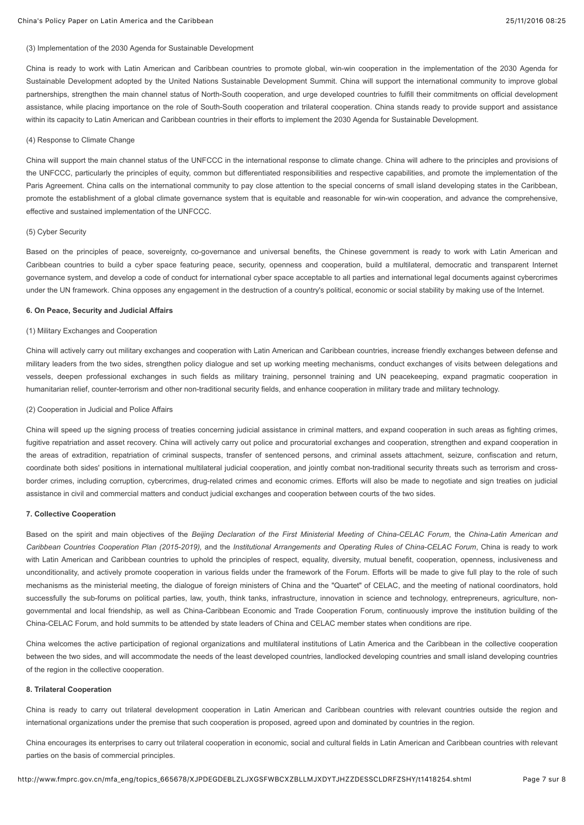## (3) Implementation of the 2030 Agenda for Sustainable Development

China is ready to work with Latin American and Caribbean countries to promote global, win-win cooperation in the implementation of the 2030 Agenda for Sustainable Development adopted by the United Nations Sustainable Development Summit. China will support the international community to improve global partnerships, strengthen the main channel status of North-South cooperation, and urge developed countries to fulfill their commitments on official development assistance, while placing importance on the role of South-South cooperation and trilateral cooperation. China stands ready to provide support and assistance within its capacity to Latin American and Caribbean countries in their efforts to implement the 2030 Agenda for Sustainable Development.

## (4) Response to Climate Change

China will support the main channel status of the UNFCCC in the international response to climate change. China will adhere to the principles and provisions of the UNFCCC, particularly the principles of equity, common but differentiated responsibilities and respective capabilities, and promote the implementation of the Paris Agreement. China calls on the international community to pay close attention to the special concerns of small island developing states in the Caribbean, promote the establishment of a global climate governance system that is equitable and reasonable for win-win cooperation, and advance the comprehensive, effective and sustained implementation of the UNFCCC.

# (5) Cyber Security

Based on the principles of peace, sovereignty, co-governance and universal benefits, the Chinese government is ready to work with Latin American and Caribbean countries to build a cyber space featuring peace, security, openness and cooperation, build a multilateral, democratic and transparent Internet governance system, and develop a code of conduct for international cyber space acceptable to all parties and international legal documents against cybercrimes under the UN framework. China opposes any engagement in the destruction of a country's political, economic or social stability by making use of the Internet.

## **6. On Peace, Security and Judicial Affairs**

### (1) Military Exchanges and Cooperation

China will actively carry out military exchanges and cooperation with Latin American and Caribbean countries, increase friendly exchanges between defense and military leaders from the two sides, strengthen policy dialogue and set up working meeting mechanisms, conduct exchanges of visits between delegations and vessels, deepen professional exchanges in such fields as military training, personnel training and UN peacekeeping, expand pragmatic cooperation in humanitarian relief, counter-terrorism and other non-traditional security fields, and enhance cooperation in military trade and military technology.

#### (2) Cooperation in Judicial and Police Affairs

China will speed up the signing process of treaties concerning judicial assistance in criminal matters, and expand cooperation in such areas as fighting crimes, fugitive repatriation and asset recovery. China will actively carry out police and procuratorial exchanges and cooperation, strengthen and expand cooperation in the areas of extradition, repatriation of criminal suspects, transfer of sentenced persons, and criminal assets attachment, seizure, confiscation and return, coordinate both sides' positions in international multilateral judicial cooperation, and jointly combat non-traditional security threats such as terrorism and crossborder crimes, including corruption, cybercrimes, drug-related crimes and economic crimes. Efforts will also be made to negotiate and sign treaties on judicial assistance in civil and commercial matters and conduct judicial exchanges and cooperation between courts of the two sides.

## **7. Collective Cooperation**

Based on the spirit and main objectives of the *Beijing Declaration of the First Ministerial Meeting of China-CELAC Forum*, the *China-Latin American and Caribbean Countries Cooperation Plan (2015-2019),* and the *Institutional Arrangements and Operating Rules of China-CELAC Forum*, China is ready to work with Latin American and Caribbean countries to uphold the principles of respect, equality, diversity, mutual benefit, cooperation, openness, inclusiveness and unconditionality, and actively promote cooperation in various fields under the framework of the Forum. Efforts will be made to give full play to the role of such mechanisms as the ministerial meeting, the dialogue of foreign ministers of China and the "Quartet" of CELAC, and the meeting of national coordinators, hold successfully the sub-forums on political parties, law, youth, think tanks, infrastructure, innovation in science and technology, entrepreneurs, agriculture, nongovernmental and local friendship, as well as China-Caribbean Economic and Trade Cooperation Forum, continuously improve the institution building of the China-CELAC Forum, and hold summits to be attended by state leaders of China and CELAC member states when conditions are ripe.

China welcomes the active participation of regional organizations and multilateral institutions of Latin America and the Caribbean in the collective cooperation between the two sides, and will accommodate the needs of the least developed countries, landlocked developing countries and small island developing countries of the region in the collective cooperation.

## **8. Trilateral Cooperation**

China is ready to carry out trilateral development cooperation in Latin American and Caribbean countries with relevant countries outside the region and international organizations under the premise that such cooperation is proposed, agreed upon and dominated by countries in the region.

China encourages its enterprises to carry out trilateral cooperation in economic, social and cultural fields in Latin American and Caribbean countries with relevant parties on the basis of commercial principles.